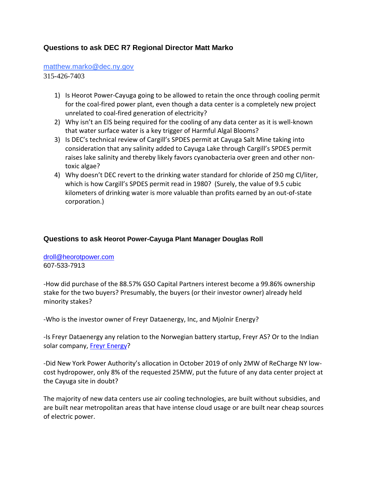## **Questions to ask DEC R7 Regional Director Matt Marko**

## [matthew.marko@dec.ny.gov](mailto:matthew.marko@dec.ny.gov)

315-426-7403

- 1) Is Heorot Power-Cayuga going to be allowed to retain the once through cooling permit for the coal-fired power plant, even though a data center is a completely new project unrelated to coal-fired generation of electricity?
- 2) Why isn't an EIS being required for the cooling of any data center as it is well-known that water surface water is a key trigger of Harmful Algal Blooms?
- 3) Is DEC's technical review of Cargill's SPDES permit at Cayuga Salt Mine taking into consideration that any salinity added to Cayuga Lake through Cargill's SPDES permit raises lake salinity and thereby likely favors cyanobacteria over green and other nontoxic algae?
- 4) Why doesn't DEC revert to the drinking water standard for chloride of 250 mg Cl/liter, which is how Cargill's SPDES permit read in 1980? (Surely, the value of 9.5 cubic kilometers of drinking water is more valuable than profits earned by an out-of-state corporation.)

## **Questions to ask Heorot Power-Cayuga Plant Manager Douglas Roll**

## [droll@heorotpower.com](mailto:droll@heorotpower.com) 607-533-7913

-How did purchase of the 88.57% GSO Capital Partners interest become a 99.86% ownership stake for the two buyers? Presumably, the buyers (or their investor owner) already held minority stakes?

-Who is the investor owner of Freyr Dataenergy, Inc, and Mjolnir Energy?

-Is Freyr Dataenergy any relation to the Norwegian battery startup, Freyr AS? Or to the Indian solar company, [Freyr Energy?](http://freyrenergy.com/)

-Did New York Power Authority's allocation in October 2019 of only 2MW of ReCharge NY lowcost hydropower, only 8% of the requested 25MW, put the future of any data center project at the Cayuga site in doubt?

The majority of new data centers use air cooling technologies, are built without subsidies, and are built near metropolitan areas that have intense cloud usage or are built near cheap sources of electric power.